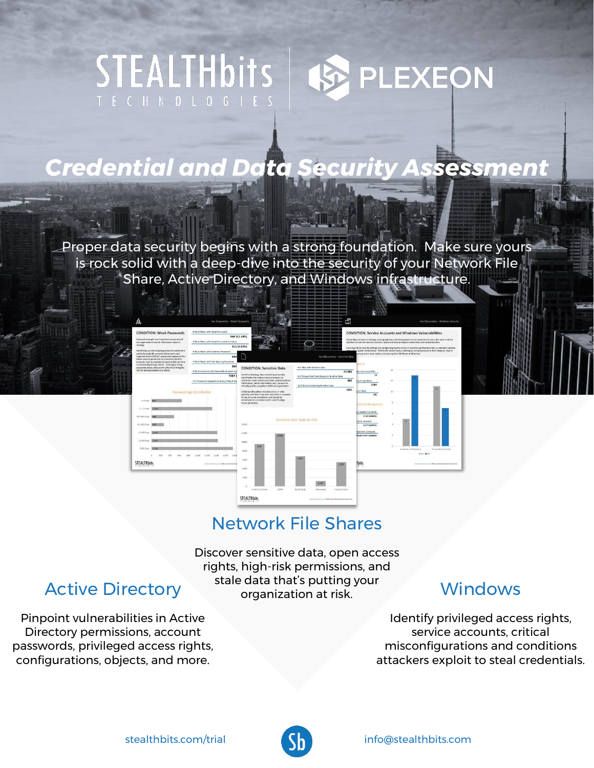# STEALTHbits **PLEXEON**

# *Credential and Data Security Assessment*

Proper data security begins with a strong foundation. Make sure yours is rock solid with a deep-dive into the security of your Network File Share, Active Directory, and Windows infrastructure.



## Network File Shares

Discover sensitive data, open access rights, high-risk permissions, and stale data that's putting your organization at risk.

## Windows

Identify privileged access rights, service accounts, critical misconfigurations and conditions attackers exploit to steal credentials.

## Active Directory

Pinpoint vulnerabilities in Active Directory permissions, account passwords, privileged access rights, configurations, objects, and more.